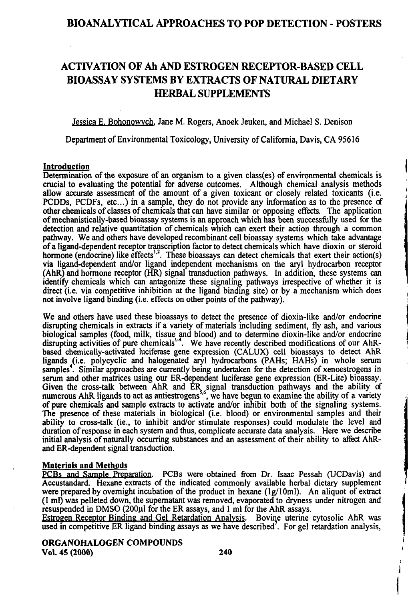## BIOANALYTICAL APPROACHES TO POP DETECTION - POSTERS

# ACTIVATION OF Ah AND ESTROGEN RECEPTOR-BASED CELL BIOASSAY SYSTEMS BY EXTRACTS OF NATURAL DIETARY HERBAL SUPPLEMENTS

Jessica E. Bohonowych, Jane M. Rogers, Anoek Jeuken, and Michael S. Denison

Department of Environmental Toxicology, University of California, Davis, CA 95616

#### Introduction

Determination of the exposure of an organism to a given class(es) of environmental chemicals is crucial to evaluating the potential for adverse outcomes. Although chemical analysis methods allow accurate assessment of the amount of a given toxicant or closely related toxicants (i.e. PCDDs, PCDFs, etc...) in a sample, they do not provide any information as to the presence of other chemicals of classes of chemicals that can have similar or opposing effects. The application of mechanistically-based bioassay systems is an approach which has been successfully used for the detection and relative quantitation of chemicals which can exert their action through a common pathway. We and others have developed recombinant cell bioassay systems which take advantage of a ligand-dependent receptor transcription factor to detect chemicals which have dioxin or steroid hormone (endocrine) like effects<sup>1,2</sup>. These bioassays can detect chemicals that exert their action(s) via ligand-dependent and/or ligand independent mechanisms on the aryl hydrocarbon receptor (AhR) and hormone receptor (HR) signal fransduction pathways. In addition, these systems can identify chemicals which can antagonize these signaling pathways irrespective of whether it is direct (i.e. via competitive inhibition at the ligand binding site) or by a mechanism which does not involve ligand binding (i.e. effects on other points of the pathway).

We and others have used these bioassays to detect the presence of dioxin-like and/or endocrine dismpting chemicals in extracts if a variety of materials including sediment, fly ash, and various biological samples (food, milk, tissue and blood) and to determine dioxin-like and/or endocrine disrupting activities of pure chemicals<sup>14</sup>. We have recently described modifications of our AhRbased chemically-activated luciferase gene expression (CALUX) cell bioassays to detect AhR ligands (i.e. polycyclic and halogenated aryl hydrocarbons (PAHs; HAHs) in whole serum samples<sup>4</sup>. Similar approaches are currently being undertaken for the detection of xenoestrogens in serum and other matrices using our ER-dependent luciferase gene expression (ER-Lite) bioassay. Given the cross-talk between AhR and ER signal transduction pathways and the ability cf numerous AhR ligands to act as antiestrogens<sup>5,6</sup>, we have begun to examine the ability of a variety of pure chemicals and sample extracts to activate and/or inhibit both of the signaling systems. The presence of these materials in biological (i.e. blood) or environmental samples and their ability to cross-talk (ie., to inhibit and/or stimulate responses) could modulate the level and duration of response in each system and thus, complicate accurate data analysis. Here we describe initial analysis of naturally occurring substances and an assessment of their ability to affect AhRand ER-dependent signal transduction.

#### Materials and Methods

PCBs and Sample Preparation. PCBs were obtained from Dr. Isaac Pessah (UCDavis) and Accustandard. Hexane extracts of the indicated commonly available herbal dietary supplement were prepared by overnight incubation of the product in hexane  $(1g/10m)$ . An aliquot of extract (I ml) was pelleted down, the supematant was removed, evaporated to dryness under nifrogen and resuspended in DMSO (200µl for the ER assays, and 1 ml for the AhR assays.

Esfrogen Receptor Binding and Gel Retardation Analvsis. Bovine uterine cytosolic AhR was used in competitive ER ligand binding assays as we have described'. For gel retardation analysis,

ORGANOHALOGEN COMPOUNDS Vol. 45 (2000) 240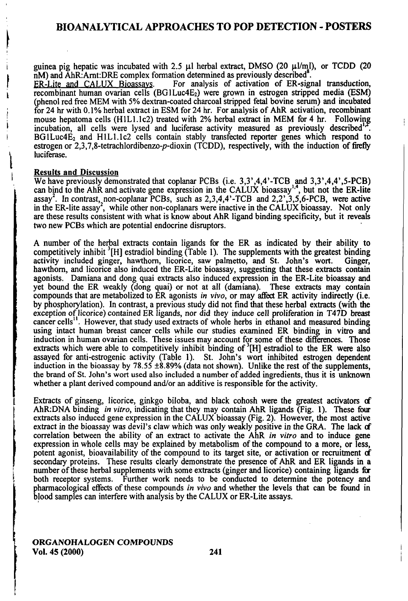## BIOANALYTICAL APPROACHES TO POP DETECTION - POSTERS

guinea pig hepatic was incubated with 2.5  $\mu$ l herbal extract, DMSO (20  $\mu$ l/ml), or TCDD (20 nM) and AhR:Arnt:DRE complex formation determined as previously described<sup>8</sup>.<br>ER-Lite and CALUX Bioassays. For analysis of activation of ER-sign

For analysis of activation of ER-signal transduction,  $r$ ecombinant human ovarian cells (BG1Luc4E<sub>2</sub>) were grown in estrogen stripped media (ESM) (phenol red free MEM with 5% dextran-coated charcoal stripped fetal bovine serum) and incubated for 24 hr with 0.1% herbal extract in ESM for 24 hr. For analysis of AhR activation, recombinant mouse hepatoma cells  $(H1L1.1c2)$  treated with 2% herbal extract in MEM for 4 hr. Following incubation, all cells were lysed and luciferase activity measured as previously described<sup>1</sup>  $BGLuc4E<sub>2</sub>$  and  $H1L1.1c2$  cells contain stably transfected reporter genes which respond to esttogen or 2,3,7,8-tetrachlordibenzo-p-dioxin (TCDD), respectively, with the induction of fireffy luciferase.

#### **Results and Discussion**

We have previously demonstrated that coplanar PCBs (i.e.  $3,3',4,4'$ -TCB and  $3,3',4,4',5$ -PCB) can bind to the AhR and activate gene expression in the CALUX bioassay", but not the ER-lite assay<sup>2</sup>. In contrast, non-coplanar PCBs, such as  $2,3,4,4'$ -TCB and  $2,2',3,5,6$ -PCB, were active in the ER-lite assay<sup>2</sup>, while other non-coplanars were inactive in the CALUX bioassay. Not only are these results consistent with what is know about AhR ligand binding specificity, but it reveak two new PCBs which are potential endocrine dismptors.

A number of the herbal extracts contain ligands for the ER as indicated by their ability to competitively inhibit  ${}^{3}$ [H] estradiol binding (Table 1). The supplements with the greatest binding activity included ginger, hawthorn, licorice, saw palmetto, and St. John's wort. Ginger, activity included ginger, hawthorn, licorice, saw palmetto, and St. John's wort. hawthom, and licorice also induced the ER-Lite bioassay, suggesting that these extracts contain agonists. Damiana and dong quai extracts also induced expression in the ER-Lite bioassay and yet bound the ER weakly (dong quai) or not at all (damiana). These extracts may contain compounds that are metabolized to ER agonists in vivo, or may affect ER activity indirectly (i.e. by phosphorylation). In confrast, a previous study did not find that these herbal extracts (with the exception of licorice) contained ER ligands, nor did they induce cell proliferation in T47D breast cancer cells". However, that study used extracts of whole herbs in ethanol and measured binding using intact human breast cancer cells while our studies examined ER binding in vifro and induction in human ovarian cells. These issues may account for some of these differences. Those extracts which were able to competitively inhibit binding of  ${}^{3}$ [H] estradiol to the ER were also assayed for anti-esttogenic activity (Table 1). St. John's wort inhibited esfrogen dependent induction in the bioassay by  $78.55 \pm 8.89\%$  (data not shown). Unlike the rest of the supplements, the brand of St. John's wort used also included a number of added ingredients, thus it is unknown whether a plant derived compound and/or an additive is responsible for the activity.

Extracts of ginseng, licorice, ginkgo biloba, and black cohosh were the greatest activators of AhR:DNA binding in vitro, indicating that they may contain AhR ligands (Fig. 1). These four extracts also induced gene expression in the CALUX bioassay (Fig. 2). However, the most active extract in the bioassay was devil's claw which was only weakly positive in the GRA. The lack of correlation between the ability of an extract to activate the AhR in vitro and to induce gene expression in whole cells may be explained by metabolism of the compound to a more, or less, potent agonist, bioavailability of the compound to its target site, or activation or recmitment of secondary proteins. These results clearly demonstrate the presence of AhR and ER ligands in a number of these herbal supplements with some extracts (ginger and licorice) containing ligands for both receptor systems. Further work needs to be conducted to determine the potency and pharmacological effects of these compounds in vivo and whether the levels that can be found in blood samples can interfere with analysis by the CALUX or ER-Lite assays.

ORGANOHALOGEN COMPOUNDS Vol. 45 (2000) 241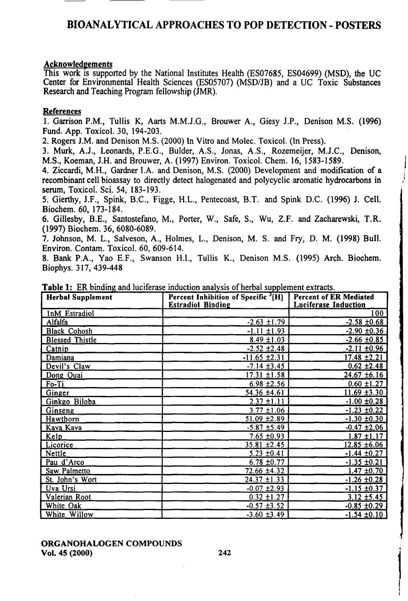# BIOANALYTICAL APPROACHES TO POP DETECTION - POSTERS

### Acknowledgements

This work is supported by the National Institutes Health (ES07685, ES04699) (MSD), the UC Center for Envfronmental Health Sciences (ES05707) (MSD/JB) and a UC Toxic Substances Research and Teaching Program fellowship (JMR).

### **References**

1. Gartison P.M., Tullis K, Aarts M.M.J.G., Brouwer A., Giesy J.P., Denison M.S. (1996) Fund. App. Toxicol. 30, 194-203.

2. Rogers J.M. and Denison M.S. (2000) In Vitto and Molec. Toxicol. (In Press).

3. Murk, A.J., Leonards, P.E.G., Bulder, A.S., Jonas, A.S., Rozemeijer, M.J.C., Denison, M.S., Koeman, J.H. and Brouwer, A. (1997) Environ. Toxicol. Chem. 16, 1583-1589.

4. Ziccardi, M.H., Gardner I.A. and Denison, M.S. (2000) Development and modification of a recombinant cell bioassay to directly detect halogenated and polycyclic aromatic hydrocarbons in semm, Toxicol. Sci. 54, 183-193.

5. Gierthy, J.F., Spink, B.C., Figge, H.L., Pentecoast, B.T. and Spink D.C. (1996) J. Cell. Biochem. 60, 173-184.

6. Gillesby, B.E., Santostefano, M., Porter, W., Safe, S., Wu, Z.F. and Zacharewski, T.R. (1997) Biochem. 36, 6080-6089.

7. Johnson, M. L., Salveson, A., Holmes, L., Denison, M. S. and Fry, D. M. (1998) Bull. Environ. Contam. Toxicol. 60, 609-614.

8. Bank P.A., Yao E.F., Swanson H.L, Tullis K., Denison M.S. (1995) Arch. Biochem. Biophys. 317, 439-448

| <b>Herbal Supplement</b> | Percent Inhibition of Specific <sup>3</sup> [H]<br><b>Estradiol Binding</b> | <b>Percent of ER Mediated</b><br><b>Luciferase Induction</b> |
|--------------------------|-----------------------------------------------------------------------------|--------------------------------------------------------------|
| InM Estradiol            |                                                                             | 100                                                          |
| Alfalfa                  | $-2.63 \pm 1.79$                                                            | $-2.58 \pm 0.68$                                             |
| <b>Black Cohosh</b>      | $-1.11 \pm 1.93$                                                            | $-2.90 \pm 0.36$                                             |
| <b>Blessed Thistle</b>   | $8.49 \pm 1.03$                                                             | $-2.66 \pm 0.85$                                             |
| Catnip                   | $-2.52 \pm 2.48$                                                            | $-2.11 \pm 0.96$                                             |
| Damiana                  | $-11.65 \pm 2.31$                                                           | $17.48 \pm 2.21$                                             |
| Devil's Claw             | $-7.14 \pm 3.45$                                                            | $0.62 \pm 2.48$                                              |
| Dong Quai                | $17.31 \pm 1.58$                                                            | $24.67 \pm 6.16$                                             |
| Fo-Ti                    | $6.98 \pm 2.56$                                                             | $0.60 \pm 1.27$                                              |
| <b>Ginger</b>            | 54.36 ±4.61                                                                 | $11.69 + 3.30$                                               |
| Ginkgo Biloba            | $2.37 \pm 1.11$                                                             | $-1.00 \pm 0.28$                                             |
| Ginseng                  | $3.77 \pm 1.06$                                                             | $-1.23 \pm 0.22$                                             |
| Hawthorn                 | $51.09 \pm 2.89$                                                            | $-1.30 \pm 0.30$                                             |
| Kava Kava                | $-5.87 \pm 5.49$                                                            | $-0.47 \pm 2.06$                                             |
| <b>Kelp</b>              | $7.65 \pm 0.93$                                                             | $1.87 \pm 1.17$                                              |
| Licorice                 | $35.81 \pm 2.45$                                                            | $12.85 \pm 6.06$                                             |
| Nettle                   | $5.23 \pm 0.41$                                                             | $-1.44 \pm 0.27$                                             |
| Pau d'Arco               | $6.78 \pm 0.77$                                                             | $-1.35 \pm 0.21$                                             |
| Saw Palmetto             | 72.66 ±4.32                                                                 | $1.47 \pm 0.70$                                              |
| St. John's Wort          | $24.37 \pm 1.33$                                                            | $-1.26 \pm 0.28$                                             |
| Uva Ursi                 | $-0.07 \pm 2.93$                                                            | $-1.15 \pm 0.37$                                             |
| Valerian Root            | $0.32 \pm 1.27$                                                             | $3.12 \pm 5.45$                                              |
| White Oak                | $-0.57 \pm 3.52$                                                            | $-0.85$ ±0.29                                                |
| White Willow             | $-3.60 \pm 3.49$                                                            | $-1.54 \pm 0.10$                                             |

Table 1: ER binding and luciferase induction analysis of herbal supplement exfracts.

#### ORGANOHALOGEN COMPOUNDS Vol. 45 (2000) 242